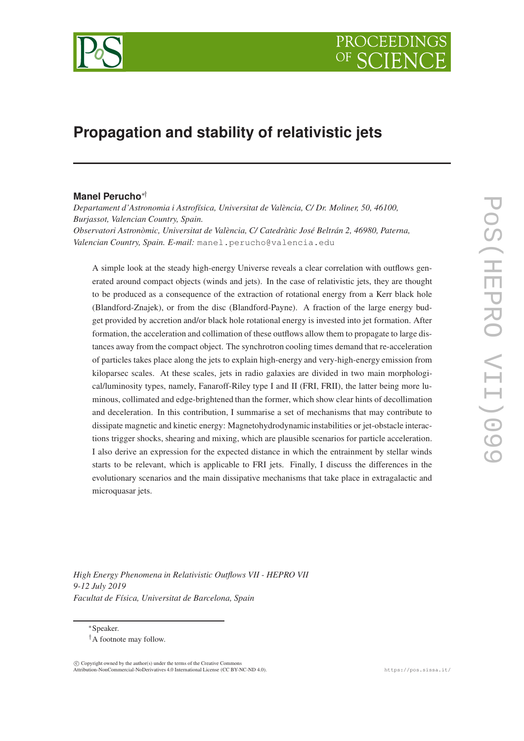

# **Propagation and stability of relativistic jets**

# **Manel Perucho**∗†

*Departament d'Astronomia i Astrofísica, Universitat de València, C/ Dr. Moliner, 50, 46100, Burjassot, Valencian Country, Spain. Observatori Astronòmic, Universitat de València, C/ Catedràtic José Beltrán 2, 46980, Paterna, Valencian Country, Spain. E-mail:* manel.perucho@valencia.edu

A simple look at the steady high-energy Universe reveals a clear correlation with outflows generated around compact objects (winds and jets). In the case of relativistic jets, they are thought to be produced as a consequence of the extraction of rotational energy from a Kerr black hole (Blandford-Znajek), or from the disc (Blandford-Payne). A fraction of the large energy budget provided by accretion and/or black hole rotational energy is invested into jet formation. After formation, the acceleration and collimation of these outflows allow them to propagate to large distances away from the compact object. The synchrotron cooling times demand that re-acceleration of particles takes place along the jets to explain high-energy and very-high-energy emission from kiloparsec scales. At these scales, jets in radio galaxies are divided in two main morphological/luminosity types, namely, Fanaroff-Riley type I and II (FRI, FRII), the latter being more luminous, collimated and edge-brightened than the former, which show clear hints of decollimation and deceleration. In this contribution, I summarise a set of mechanisms that may contribute to dissipate magnetic and kinetic energy: Magnetohydrodynamicinstabilities or jet-obstacle interactions trigger shocks, shearing and mixing, which are plausible scenarios for particle acceleration. I also derive an expression for the expected distance in which the entrainment by stellar winds starts to be relevant, which is applicable to FRI jets. Finally, I discuss the differences in the evolutionary scenarios and the main dissipative mechanisms that take place in extragalactic and microquasar jets.

*High Energy Phenomena in Relativistic Outflows VII - HEPRO VII 9-12 July 2019 Facultat de Física, Universitat de Barcelona, Spain*

<sup>∗</sup>Speaker.

†A footnote may follow.

 $\overline{c}$  Copyright owned by the author(s) under the terms of the Creative Commons Attribution-NonCommercial-NoDerivatives 4.0 International License (CC BY-NC-ND 4.0). https://pos.sissa.it/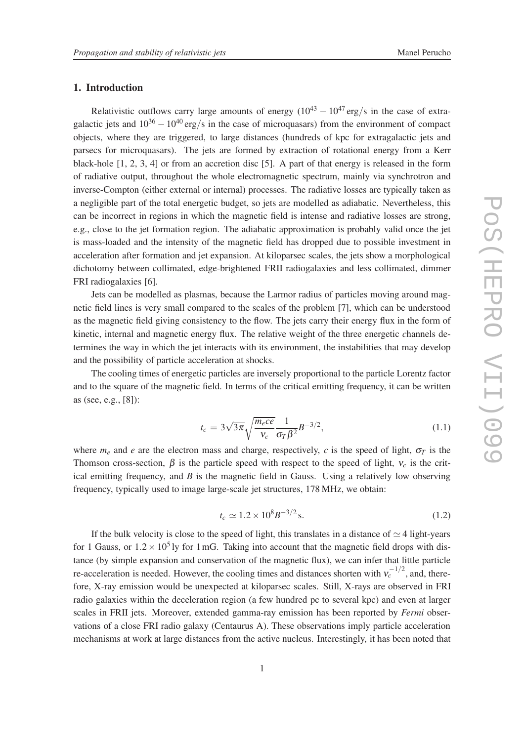# 1. Introduction

Relativistic outflows carry large amounts of energy  $(10^{43} - 10^{47} \text{ erg/s}$  in the case of extragalactic jets and  $10^{36} - 10^{40}$  erg/s in the case of microquasars) from the environment of compact objects, where they are triggered, to large distances (hundreds of kpc for extragalactic jets and parsecs for microquasars). The jets are formed by extraction of rotational energy from a Kerr black-hole [1, 2, 3, 4] or from an accretion disc [5]. A part of that energy is released in the form of radiative output, throughout the whole electromagnetic spectrum, mainly via synchrotron and inverse-Compton (either external or internal) processes. The radiative losses are typically taken as a negligible part of the total energetic budget, so jets are modelled as adiabatic. Nevertheless, this can be incorrect in regions in which the magnetic field is intense and radiative losses are strong, e.g., close to the jet formation region. The adiabatic approximation is probably valid once the jet is mass-loaded and the intensity of the magnetic field has dropped due to possible investment in acceleration after formation and jet expansion. At kiloparsec scales, the jets show a morphological dichotomy between collimated, edge-brightened FRII radiogalaxies and less collimated, dimmer FRI radiogalaxies [6].

Jets can be modelled as plasmas, because the Larmor radius of particles moving around magnetic field lines is very small compared to the scales of the problem [7], which can be understood as the magnetic field giving consistency to the flow. The jets carry their energy flux in the form of kinetic, internal and magnetic energy flux. The relative weight of the three energetic *c*hannels determines the way in which the jet interacts with its environment, the instabilities that may develop and the possibility of particle acceleration at shocks.

The cooling times of energetic particles are inversely proportional to the particle Lorentz factor and to the square of the magnetic field. In terms of the critical emitting frequency, it can be written as (see, e.g., [8]):

$$
t_c = 3\sqrt{3\pi} \sqrt{\frac{m_e c e}{v_c}} \frac{1}{\sigma_T \beta^2} B^{-3/2},\tag{1.1}
$$

where  $m_e$  and *e* are the electron mass and charge, respectively, *c* is the speed of light,  $\sigma_T$  is the Thomson cross-section,  $\beta$  is the particle speed with respect to the speed of light,  $v_c$  is the critical emitting frequency, and *B* is the magnetic field in Gauss. Using a relatively low observing frequency, typically used to image large-scale jet structures, 178 MHz, we obtain:

$$
t_c \simeq 1.2 \times 10^8 B^{-3/2} \,\mathrm{s}.\tag{1.2}
$$

If the bulk velocity is close to the speed of light, this translates in a distance of  $\simeq$  4 light-years for 1 Gauss, or  $1.2 \times 10^5$  ly for 1 mG. Taking into account that the magnetic field drops with distance (by simple expansion and conservation of the magnetic flux), we can infer that little particle re-acceleration is needed. However, the cooling times and distances shorten with  $v_c^{-1/2}$ , and, therefore, X-ray emission would be unexpected at kiloparsec scales. Still, X-rays are observed in FRI radio galaxies within the deceleration region (a few hundred pc to several kpc) and even at larger scales in FRII jets. Moreover, extended gamma-ray emission has been reported by *Fermi* observations of a close FRI radio galaxy (Centaurus A). These observations imply particle acceleration mechanisms at work at large distances from the active nucleus. Interestingly, it has been noted that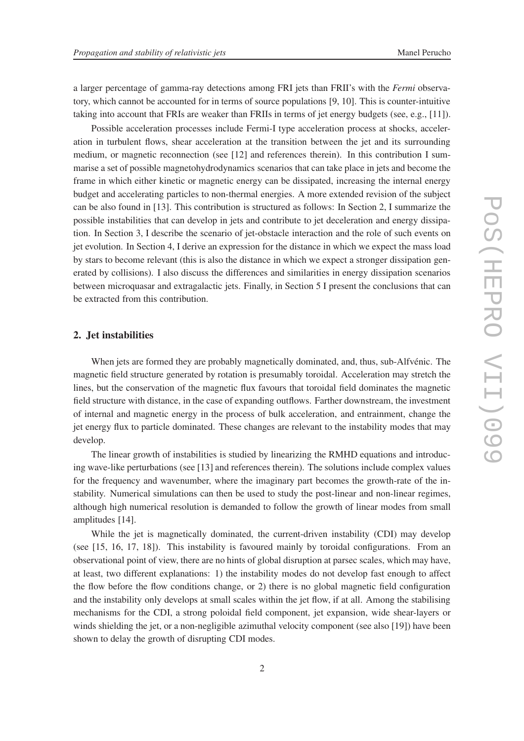a larger percentage of gamma-ray detections among FRI jets than FRII's with the *Fermi* observatory, which cannot be accounted for in terms of source populations [9, 10]. This is counter-intuitive taking into account that FRIs are weaker than FRIIs in terms of jet energy budgets (see, e.g., [11]).

Possible acceleration processes include Fermi-I type acceleration process at shocks, acceleration in turbulent flows, shear acceleration at the transition between the jet and its surrounding medium, or magnetic reconnection (see [12] and references therein). In this contribution I summarise a set of possible magnetohydrodynamics scenarios that can take place in jets and become the frame in which either kinetic or magnetic energy can be dissipated, increasing the internal energy budget and accelerating particles to non-thermal energies. A more extended revision of the subject can be also found in [13]. This contribution is structured as follows: In Section 2, I summarize the possible instabilities that can develop in jets and contribute to jet deceleration and energy dissipation. In Section 3, I describe the scenario of jet-obstacle interaction and the role of such events on jet evolution. In Section 4, I derive an expression for the distance in which we expect the mass load by stars to become relevant (this is also the distance in which we expect a stronger dissipation generated by collisions). I also discuss the differences and similarities in energy dissipation scenarios between microquasar and extragalactic jets. Finally, in Section 5 I present the conclusions that can be extracted from this contribution.

# 2. Jet instabilities

When jets are formed they are probably magnetically dominated, and, thus, sub-Alfvénic. The magnetic field structure generated by rotation is presumably toroidal. Acceleration may stretch the lines, but the conservation of the magnetic flux favours that toroidal field dominates the magnetic field structure with distance, in the case of expanding outflows. Farther downstream, the investment of internal and magnetic energy in the process of bulk acceleration, and entrainment, change the jet energy flux to particle dominated. These changes are relevant to the instability modes that may develop.

The linear growth of instabilities is studied by linearizing the RMHD equations and introducing wave-like perturbations (see [13] and references therein). The solutions include complex values for the frequency and wavenumber, where the imaginary part becomes the growth-rate of the instability. Numerical simulations can then be used to study the post-linear and non-linear regimes, although high numerical resolution is demanded to follow the growth of linear modes from small amplitudes [14].

While the jet is magnetically dominated, the current-driven instability (CDI) may develop (see [15, 16, 17, 18]). This instability is favoured mainly by toroidal configurations. From an observational point of view, there are no hints of global disruption at parsec scales, which may have, at least, two different explanations: 1) the instability modes do not develop fast enough to affect the flow before the flow conditions change, or 2) there is no global magnetic field configuration and the instability only develops at small scales within the jet flow, if at all. Among the stabilising mechanisms for the CDI, a strong poloidal field component, jet expansion, wide shear-layers or winds shielding the jet, or a non-negligible azimuthal velocity component (see also [19]) have been shown to delay the growth of disrupting CDI modes.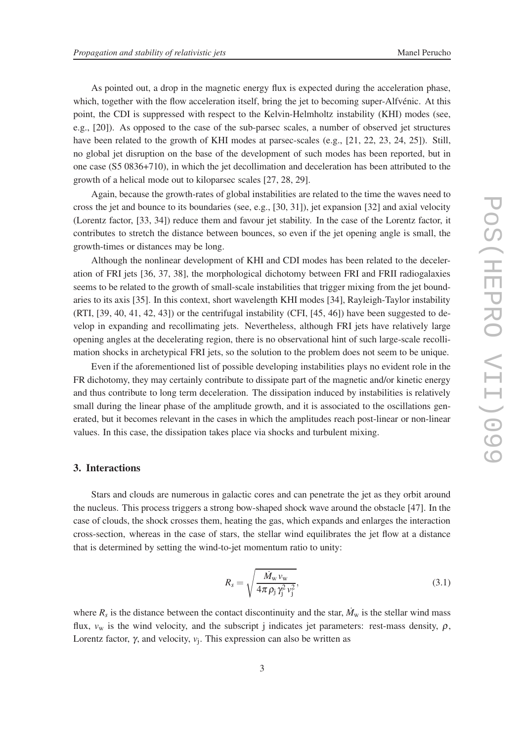As pointed out, a drop in the magnetic energy flux is expected during the acceleration phase, which, together with the flow acceleration itself, bring the jet to becoming super-Alfvénic. At this point, the CDI is suppressed with respect to the Kelvin-Helmholtz instability (KHI) modes (see, e.g., [20]). As opposed to the case of the sub-parsec scales, a number of observed jet structures have been related to the growth of KHI modes at parsec-scales (e.g., [21, 22, 23, 24, 25]). Still, no global jet disruption on the base of the development of such modes has been reported, but in one case (S5 0836+710), in which the jet decollimation and deceleration has been attributed to the growth of a helical mode out to kiloparsec scales [27, 28, 29].

Again, because the growth-rates of global instabilities are related to the time the waves need to cross the jet and bounce to its boundaries (see, e.g., [30, 31]), jet expansion [32] and axial velocity (Lorentz factor, [33, 34]) reduce them and favour jet stability. In the case of the Lorentz factor, it contributes to stretch the distance between bounces, so even if the jet opening angle is small, the growth-times or distances may be long.

Although the nonlinear development of KHI and CDI modes has been related to the deceleration of FRI jets [36, 37, 38], the morphological dichotomy between FRI and FRII radiogalaxies seems to be related to the growth of small-scale instabilities that trigger mixing from the jet boundaries to its axis [35]. In this context, short wavelength KHI modes [34], Rayleigh-Taylor instability (RTI, [39, 40, 41, 42, 43]) or the centrifugal instability (CFI, [45, 46]) have been suggested to develop in expanding and recollimating jets. Nevertheless, although FRI jets have relatively large opening angles at the decelerating region, there is no observational hint of such large-scale recollimation shocks in archetypical FRI jets, so the solution to the problem does not seem to be unique.

Even if the aforementioned list of possible developing instabilities plays no evident role in the FR dichotomy, they may certainly contribute to dissipate part of the magnetic and/or kinetic energy and thus contribute to long term deceleration. The dissipation induced by instabilities is relatively small during the linear phase of the amplitude growth, and it is associated to the oscillations generated, but it becomes relevant in the cases in which the amplitudes reach post-linear or non-linear values. In this case, the dissipation takes place via shocks and turbulent mixing.

# 3. Interactions

Stars and clouds are numerous in galactic cores and can penetrate the jet as they orbit around the nucleus. This process triggers a strong bow-shaped shock wave around the obstacle [47]. In the case of clouds, the shock crosses them, heating the gas, which expands and enlarges the interaction cross-section, whereas in the case of stars, the stellar wind equilibrates the jet flow at a distance that is determined by setting the wind-to-jet momentum ratio to unity:

$$
R_s = \sqrt{\frac{\dot{M}_{\rm w} v_{\rm w}}{4\pi \rho_j \gamma_j^2 v_j^2}},\tag{3.1}
$$

where  $R_s$  is the distance between the contact discontinuity and the star,  $\dot{M}_w$  is the stellar wind mass flux,  $v_w$  is the wind velocity, and the subscript j indicates jet parameters: rest-mass density,  $\rho$ , Lorentz factor, <sup>γ</sup>, and velocity, *v*<sup>j</sup> . This expression can also be written as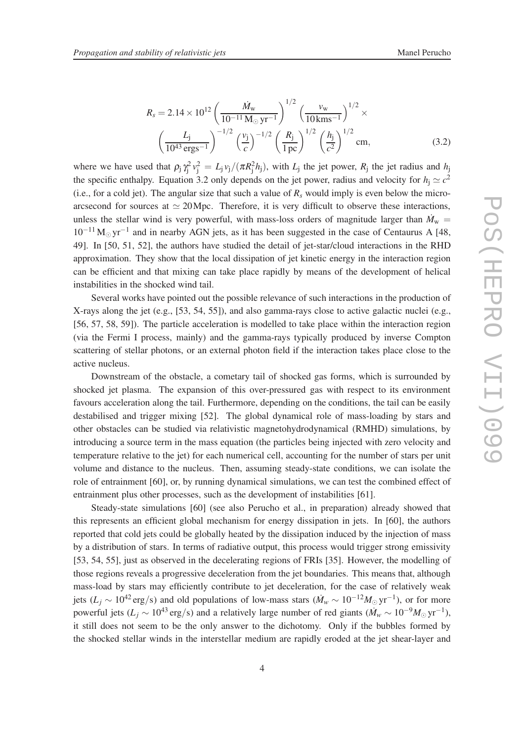$$
R_s = 2.14 \times 10^{12} \left(\frac{\dot{M}_{\rm w}}{10^{-11} \,\mathrm{M}_{\odot} \,\mathrm{yr}^{-1}}\right)^{1/2} \left(\frac{v_{\rm w}}{10 \,\mathrm{km s}^{-1}}\right)^{1/2} \times \left(\frac{L_{\rm j}}{10^{43} \,\mathrm{erg s}^{-1}}\right)^{-1/2} \left(\frac{v_{\rm j}}{c}\right)^{-1/2} \left(\frac{R_{\rm j}}{1 \,\mathrm{pc}}\right)^{1/2} \left(\frac{h_{\rm j}}{c^2}\right)^{1/2} \,\mathrm{cm},\tag{3.2}
$$

where we have used that  $\rho_j \gamma_j^2 v_j^2 = L_j v_j/(\pi R_j^2 h_j)$ , with  $L_j$  the jet power,  $R_j$  the jet radius and  $h_j$ the specific enthalpy. Equation 3.2 only depends on the jet power, radius and velocity for  $h_j \simeq c^2$ (i.e., for a cold jet). The angular size that such a value of  $R_s$  would imply is even below the microarcsecond for sources at  $\simeq 20$  Mpc. Therefore, it is very difficult to observe these interactions, unless the stellar wind is very powerful, with mass-loss orders of magnitude larger than  $\dot{M}_{\text{w}}$  =  $10^{-11}$  M<sub>☉</sub> yr<sup>-1</sup> and in nearby AGN jets, as it has been suggested in the case of Centaurus A [48, 49]. In [50, 51, 52], the authors have studied the detail of jet-star/cloud interactions in the RHD approximation. They show that the local dissipation of jet kinetic energy in the interaction region can be efficient and that mixing can take place rapidly by means of the development of helical instabilities in the shocked wind tail.

Several works have pointed out the possible relevance of such interactions in the production of X-rays along the jet (e.g., [53, 54, 55]), and also gamma-rays close to active galactic nuclei (e.g., [56, 57, 58, 59]). The particle acceleration is modelled to take place within the interaction region (via the Fermi I process, mainly) and the gamma-rays typically produced by inverse Compton scattering of stellar photons, or an external photon field if the interaction takes place close to the active nucleus.

Downstream of the obstacle, a cometary tail of shocked gas forms, which is surrounded by shocked jet plasma. The expansion of this over-pressured gas with respect to its environment favours acceleration along the tail. Furthermore, depending on the conditions, the tail can be easily destabilised and trigger mixing [52]. The global dynamical role of mass-loading by stars and other obstacles can be studied via relativistic magnetohydrodynamical (RMHD) simulations, by introducing a source term in the mass equation (the particles being injected with zero velocity and temperature relative to the jet) for each numerical cell, accounting for the number of stars per unit volume and distance to the nucleus. Then, assuming steady-state conditions, we can isolate the role of entrainment [60], or, by running dynamical simulations, we can test the combined effect of entrainment plus other processes, such as the development of instabilities [61].

Steady-state simulations [60] (see also Perucho et al., in preparation) already showed that this represents an efficient global mechanism for energy dissipation in jets. In [60], the authors reported that cold jets could be globally heated by the dissipation induced by the injection of mass by a distribution of stars. In terms of radiative output, this process would trigger strong emissivity [53, 54, 55], just as observed in the decelerating regions of FRIs [35]. However, the modelling of those regions reveals a progressive deceleration from the jet boundaries. This means that, although mass-load by stars may efficiently contribute to jet deceleration, for the case of relatively weak jets ( $L_j \sim 10^{42} \text{ erg/s}$ ) and old populations of low-mass stars ( $\dot{M}_w \sim 10^{-12} M_{\odot} \text{ yr}^{-1}$ ), or for more powerful jets ( $L_j \sim 10^{43} \text{ erg/s}$ ) and a relatively large number of red giants ( $\dot{M}_w \sim 10^{-9} M_\odot \text{yr}^{-1}$ ), it still does not seem to be the only answer to the dichotomy. Only if the bubbles formed by the shocked stellar winds in the interstellar medium are rapidly eroded at the jet shear-layer and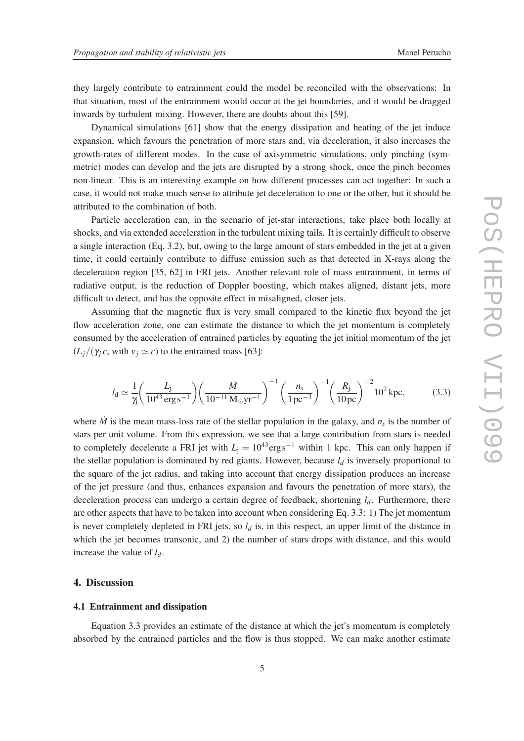they largely contribute to entrainment could the model be reconciled with the observations: In that situation, most of the entrainment would occur at the jet boundaries, and it would be dragged inwards by turbulent mixing. However, there are doubts about this [59].

Dynamical simulations [61] show that the energy dissipation and heating of the jet induce expansion, which favours the penetration of more stars and, via deceleration, it also increases the growth-rates of different modes. In the case of axisymmetric simulations, only pinching (symmetric) modes can develop and the jets are disrupted by a strong shock, once the pinch becomes non-linear. This is an interesting example on how different processes can act together: In such a case, it would not make much sense to attribute jet deceleration to one or the other, but it should be attributed to the combination of both.

Particle acceleration can, in the scenario of jet-star interactions, take place both locally at shocks, and via extended acceleration in the turbulent mixing tails. It is certainly difficult to observe a single interaction (Eq. 3.2), but, owing to the large amount of stars embedded in the jet at a given time, it could certainly contribute to diffuse emission such as that detected in X-rays along the deceleration region [35, 62] in FRI jets. Another relevant role of mass entrainment, in terms of radiative output, is the reduction of Doppler boosting, which makes aligned, distant jets, more difficult to detect, and has the opposite effect in misaligned, closer jets.

Assuming that the magnetic flux is very small compared to the kinetic flux beyond the jet flow acceleration zone, one can estimate the distance to which the jet momentum is completely consumed by the acceleration of entrained particles by equating the jet initial momentum of the jet  $(L_i/(\gamma_i c, \text{ with } v_i \simeq c)$  to the entrained mass [63]:

$$
l_{\rm d} \simeq \frac{1}{\gamma} \left( \frac{L_{\rm j}}{10^{43} \,\rm erg \,s^{-1}} \right) \left( \frac{\dot{M}}{10^{-11} \,\rm M_{\odot} \,yr^{-1}} \right)^{-1} \left( \frac{n_{\rm s}}{1 \,\rm pc^{-3}} \right)^{-1} \left( \frac{R_{\rm j}}{10 \,\rm pc} \right)^{-2} 10^{2} \,\rm kpc, \tag{3.3}
$$

where  $\dot{M}$  is the mean mass-loss rate of the stellar population in the galaxy, and  $n<sub>s</sub>$  is the number of stars per unit volume. From this expression, we see that a large contribution from stars is needed to completely decelerate a FRI jet with  $L<sub>i</sub> = 10<sup>43</sup> erg s<sup>-1</sup>$  within 1 kpc. This can only happen if the stellar population is dominated by red giants. However, because  $l_d$  is inversely proportional to the square of the jet radius, and taking into account that energy dissipation produces an increase of the jet pressure (and thus, enhances expansion and favours the penetration of more stars), the deceleration process can undergo a certain degree of feedback, shortening *ld*. Furthermore, there are other aspects that have to be taken into account when considering Eq. 3.3: 1) The jet momentum is never completely depleted in FRI jets, so *l<sup>d</sup>* is, in this respect, an upper limit of the distance in which the jet becomes transonic, and 2) the number of stars drops with distance, and this would increase the value of *ld*.

#### 4. Discussion

#### 4.1 Entrainment and dissipation

Equation 3.3 provides an estimate of the distance at which the jet's momentum is completely absorbed by the entrained particles and the flow is thus stopped. We can make another estimate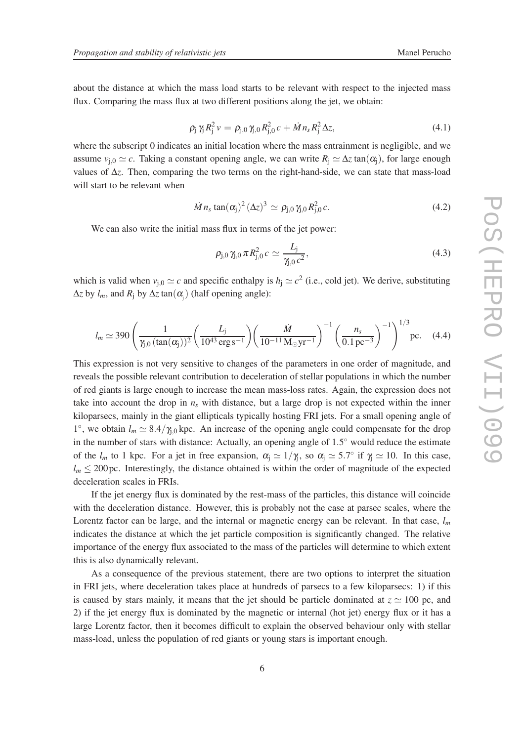about the distance at which the mass load starts to be relevant with respect to the injected mass flux. Comparing the mass flux at two different positions along the jet, we obtain:

$$
\rho_{j} \gamma_{j} R_{j}^{2} \nu = \rho_{j,0} \gamma_{j,0} R_{j,0}^{2} c + \dot{M} n_{s} R_{j}^{2} \Delta z, \qquad (4.1)
$$

where the subscript 0 indicates an initial location where the mass entrainment is negligible, and we assume  $v_{i,0} \simeq c$ . Taking a constant opening angle, we can write  $R_i \simeq \Delta z \tan(\alpha_i)$ , for large enough values of ∆*z*. Then, comparing the two terms on the right-hand-side, we can state that mass-load will start to be relevant when

$$
\dot{M} n_s \tan(\alpha_j)^2 (\Delta z)^3 \simeq \rho_{j,0} \gamma_{j,0} R_{j,0}^2 c. \qquad (4.2)
$$

We can also write the initial mass flux in terms of the jet power:

$$
\rho_{j,0} \,\gamma_{j,0} \,\pi \, R_{j,0}^2 \, c \simeq \frac{L_j}{\gamma_{j,0} \, c^2},\tag{4.3}
$$

which is valid when  $v_{j,0} \simeq c$  and specific enthalpy is  $h_j \simeq c^2$  (i.e., cold jet). We derive, substituting  $\Delta z$  by  $l_m$ , and  $R_j$  by  $\Delta z \tan(\alpha_j)$  (half opening angle):

$$
l_m \simeq 390 \left( \frac{1}{\gamma_{j,0} \left( \tan(\alpha_j) \right)^2} \left( \frac{L_j}{10^{43} \text{ erg s}^{-1}} \right) \left( \frac{\dot{M}}{10^{-11} \text{ M}_{\odot} \text{yr}^{-1}} \right)^{-1} \left( \frac{n_s}{0.1 \text{ pc}^{-3}} \right)^{-1} \right)^{1/3} \text{pc.} \quad (4.4)
$$

This expression is not very sensitive to changes of the parameters in one order of magnitude, and reveals the possible relevant contribution to deceleration of stellar populations in which the number of red giants is large enough to increase the mean mass-loss rates. Again, the expression does not take into account the drop in  $n<sub>s</sub>$  with distance, but a large drop is not expected within the inner kiloparsecs, mainly in the giant ellipticals typically hosting FRI jets. For a small opening angle of <sup>1</sup>°, we obtain *l<sub>m</sub>* ≥ 8.4/γ<sub>j,0</sub> kpc. An increase of the opening angle could compensate for the drop in the number of stars with distance: Actually, an opening angle of  $1.5^{\circ}$  would reduce the estimate of the  $l_m$  to 1 kpc. For a jet in free expansion,  $\alpha_j \simeq 1/\gamma_j$ , so  $\alpha_j \simeq 5.7^\circ$  if  $\gamma_j \simeq 10$ . In this case,  $l_m \leq 200$  pc. Interestingly, the distance obtained is within the order of magnitude of the expected deceleration scales in FRIs.

If the jet energy flux is dominated by the rest-mass of the particles, this distance will coincide with the deceleration distance. However, this is probably not the case at parsec scales, where the Lorentz factor can be large, and the internal or magnetic energy can be relevant. In that case, *l<sup>m</sup>* indicates the distance at which the jet particle composition is significantly changed. The relative importance of the energy flux associated to the mass of the particles will determine to which extent this is also dynamically relevant.

As a consequence of the previous statement, there are two options to interpret the situation in FRI jets, where deceleration takes place at hundreds of parsecs to a few kiloparsecs: 1) if this is caused by stars mainly, it means that the jet should be particle dominated at  $z \approx 100$  pc, and 2) if the jet energy flux is dominated by the magnetic or internal (hot jet) energy flux or it has a large Lorentz factor, then it becomes difficult to explain the observed behaviour only with stellar mass-load, unless the population of red giants or young stars is important enough.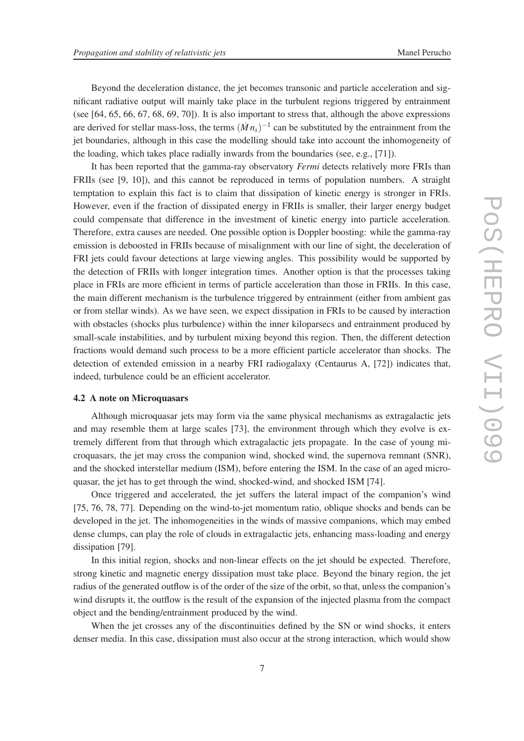Beyond the deceleration distance, the jet becomes transonic and particle acceleration and significant radiative output will mainly take place in the turbulent regions triggered by entrainment (see [64, 65, 66, 67, 68, 69, 70]). It is also important to stress that, although the above expressions are derived for stellar mass-loss, the terms  $(Mn<sub>s</sub>)<sup>-1</sup>$  can be substituted by the entrainment from the jet boundaries, although in this case the modelling should take into account the inhomogeneity of the loading, which takes place radially inwards from the boundaries (see, e.g., [71]).

It has been reported that the gamma-ray observatory *Fermi* detects relatively more FRIs than FRIIs (see [9, 10]), and this cannot be reproduced in terms of population numbers. A straight temptation to explain this fact is to claim that dissipation of kinetic energy is stronger in FRIs. However, even if the fraction of dissipated energy in FRIIs is smaller, their larger energy budget could compensate that difference in the investment of kinetic energy into particle acceleration. Therefore, extra causes are needed. One possible option is Doppler boosting: while the gamma-ray emission is deboosted in FRIIs because of misalignment with our line of sight, the deceleration of FRI jets could favour detections at large viewing angles. This possibility would be supported by the detection of FRIIs with longer integration times. Another option is that the processes taking place in FRIs are more efficient in terms of particle acceleration than those in FRIIs. In this case, the main different mechanism is the turbulence triggered by entrainment (either from ambient gas or from stellar winds). As we have seen, we expect dissipation in FRIs to be caused by interaction with obstacles (shocks plus turbulence) within the inner kiloparsecs and entrainment produced by small-scale instabilities, and by turbulent mixing beyond this region. Then, the different detection fractions would demand such process to be a more efficient particle accelerator than shocks. The detection of extended emission in a nearby FRI radiogalaxy (Centaurus A, [72]) indicates that, indeed, turbulence could be an efficient accelerator.

### 4.2 A note on Microquasars

Although microquasar jets may form via the same physical mechanisms as extragalactic jets and may resemble them at large scales [73], the environment through which they evolve is extremely different from that through which extragalactic jets propagate. In the case of young microquasars, the jet may cross the companion wind, shocked wind, the supernova remnant (SNR), and the shocked interstellar medium (ISM), before entering the ISM. In the case of an aged microquasar, the jet has to get through the wind, shocked-wind, and shocked ISM [74].

Once triggered and accelerated, the jet suffers the lateral impact of the companion's wind [75, 76, 78, 77]. Depending on the wind-to-jet momentum ratio, oblique shocks and bends can be developed in the jet. The inhomogeneities in the winds of massive companions, which may embed dense clumps, can play the role of clouds in extragalactic jets, enhancing mass-loading and energy dissipation [79].

In this initial region, shocks and non-linear effects on the jet should be expected. Therefore, strong kinetic and magnetic energy dissipation must take place. Beyond the binary region, the jet radius of the generated outflow is of the order of the size of the orbit, so that, unless the companion's wind disrupts it, the outflow is the result of the expansion of the injected plasma from the compact object and the bending/entrainment produced by the wind.

When the jet crosses any of the discontinuities defined by the SN or wind shocks, it enters denser media. In this case, dissipation must also occur at the strong interaction, which would show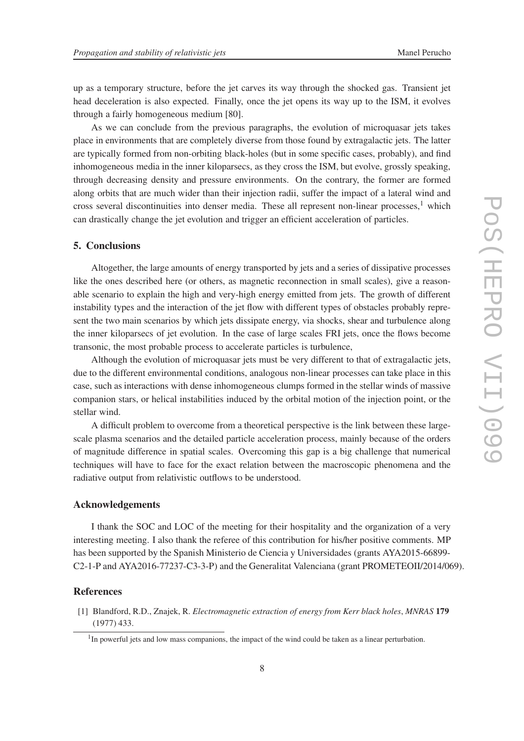up as a temporary structure, before the jet carves its way through the shocked gas. Transient jet head deceleration is also expected. Finally, once the jet opens its way up to the ISM, it evolves through a fairly homogeneous medium [80].

As we can conclude from the previous paragraphs, the evolution of microquasar jets takes place in environments that are completely diverse from those found by extragalactic jets. The latter are typically formed from non-orbiting black-holes (but in some specific cases, probably), and find inhomogeneous media in the inner kiloparsecs, as they cross the ISM, but evolve, grossly speaking, through decreasing density and pressure environments. On the contrary, the former are formed along orbits that are much wider than their injection radii, suffer the impact of a lateral wind and cross several discontinuities into denser media. These all represent non-linear processes, $1$  which can drastically change the jet evolution and trigger an efficient acceleration of particles.

# 5. Conclusions

Altogether, the large amounts of energy transported by jets and a series of dissipative processes like the ones described here (or others, as magnetic reconnection in small scales), give a reasonable scenario to explain the high and very-high energy emitted from jets. The growth of different instability types and the interaction of the jet flow with different types of obstacles probably represent the two main scenarios by which jets dissipate energy, via shocks, shear and turbulence along the inner kiloparsecs of jet evolution. In the case of large scales FRI jets, once the flows become transonic, the most probable process to accelerate particles is turbulence,

Although the evolution of microquasar jets must be very different to that of extragalactic jets, due to the different environmental conditions, analogous non-linear processes can take place in this case, such as interactions with dense inhomogeneous clumps formed in the stellar winds of massive companion stars, or helical instabilities induced by the orbital motion of the injection point, or the stellar wind.

A difficult problem to overcome from a theoretical perspective is the link between these largescale plasma scenarios and the detailed particle acceleration process, mainly because of the orders of magnitude difference in spatial scales. Overcoming this gap is a big challenge that numerical techniques will have to face for the exact relation between the macroscopic phenomena and the radiative output from relativistic outflows to be understood.

# Acknowledgements

I thank the SOC and LOC of the meeting for their hospitality and the organization of a very interesting meeting. I also thank the referee of this contribution for his/her positive comments. MP has been supported by the Spanish Ministerio de Ciencia y Universidades (grants AYA2015-66899- C2-1-P and AYA2016-77237-C3-3-P) and the Generalitat Valenciana (grant PROMETEOII/2014/069).

## References

[1] Blandford, R.D., Znajek, R. *Electromagnetic extraction of energy from Kerr black holes*, *MNRAS* 179 (1977) 433.

<sup>&</sup>lt;sup>1</sup>In powerful jets and low mass companions, the impact of the wind could be taken as a linear perturbation.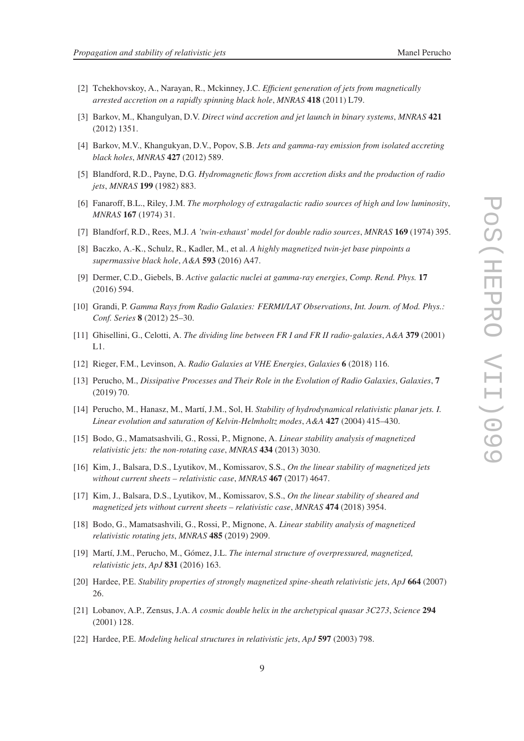- [2] Tchekhovskoy, A., Narayan, R., Mckinney, J.C. *Efficient generation of jets from magnetically arrested accretion on a rapidly spinning black hole*, *MNRAS* 418 (2011) L79.
- [3] Barkov, M., Khangulyan, D.V. *Direct wind accretion and jet launch in binary systems*, *MNRAS* 421 (2012) 1351.
- [4] Barkov, M.V., Khangukyan, D.V., Popov, S.B. *Jets and gamma-ray emission from isolated accreting black holes*, *MNRAS* 427 (2012) 589.
- [5] Blandford, R.D., Payne, D.G. *Hydromagnetic flows from accretion disks and the production of radio jets*, *MNRAS* 199 (1982) 883.
- [6] Fanaroff, B.L., Riley, J.M. *The morphology of extragalactic radio sources of high and low luminosity*, *MNRAS* 167 (1974) 31.
- [7] Blandforf, R.D., Rees, M.J. *A 'twin-exhaust' model for double radio sources*, *MNRAS* 169 (1974) 395.
- [8] Baczko, A.-K., Schulz, R., Kadler, M., et al. *A highly magnetized twin-jet base pinpoints a supermassive black hole*, *A&A* 593 (2016) A47.
- [9] Dermer, C.D., Giebels, B. *Active galactic nuclei at gamma-ray energies*, *Comp. Rend. Phys.* 17 (2016) 594.
- [10] Grandi, P. *Gamma Rays from Radio Galaxies: FERMI/LAT Observations*, *Int. Journ. of Mod. Phys.: Conf. Series* 8 (2012) 25–30.
- [11] Ghisellini, G., Celotti, A. *The dividing line between FR I and FR II radio-galaxies*, *A&A* 379 (2001) L1.
- [12] Rieger, F.M., Levinson, A. *Radio Galaxies at VHE Energies*, *Galaxies* 6 (2018) 116.
- [13] Perucho, M., *Dissipative Processes and Their Role in the Evolution of Radio Galaxies*, *Galaxies*, 7 (2019) 70.
- [14] Perucho, M., Hanasz, M., Martí, J.M., Sol, H. *Stability of hydrodynamical relativistic planar jets. I. Linear evolution and saturation of Kelvin-Helmholtz modes*, *A&A* 427 (2004) 415–430.
- [15] Bodo, G., Mamatsashvili, G., Rossi, P., Mignone, A. *Linear stability analysis of magnetized relativistic jets: the non-rotating case*, *MNRAS* 434 (2013) 3030.
- [16] Kim, J., Balsara, D.S., Lyutikov, M., Komissarov, S.S., *On the linear stability of magnetized jets without current sheets – relativistic case*, *MNRAS* 467 (2017) 4647.
- [17] Kim, J., Balsara, D.S., Lyutikov, M., Komissarov, S.S., *On the linear stability of sheared and magnetized jets without current sheets – relativistic case*, *MNRAS* 474 (2018) 3954.
- [18] Bodo, G., Mamatsashvili, G., Rossi, P., Mignone, A. *Linear stability analysis of magnetized relativistic rotating jets*, *MNRAS* 485 (2019) 2909.
- [19] Martí, J.M., Perucho, M., Gómez, J.L. *The internal structure of overpressured, magnetized, relativistic jets*, *ApJ* 831 (2016) 163.
- [20] Hardee, P.E. *Stability properties of strongly magnetized spine-sheath relativistic jets*, *ApJ* 664 (2007) 26.
- [21] Lobanov, A.P., Zensus, J.A. *A cosmic double helix in the archetypical quasar 3C273*, *Science* 294 (2001) 128.
- [22] Hardee, P.E. *Modeling helical structures in relativistic jets*, *ApJ* 597 (2003) 798.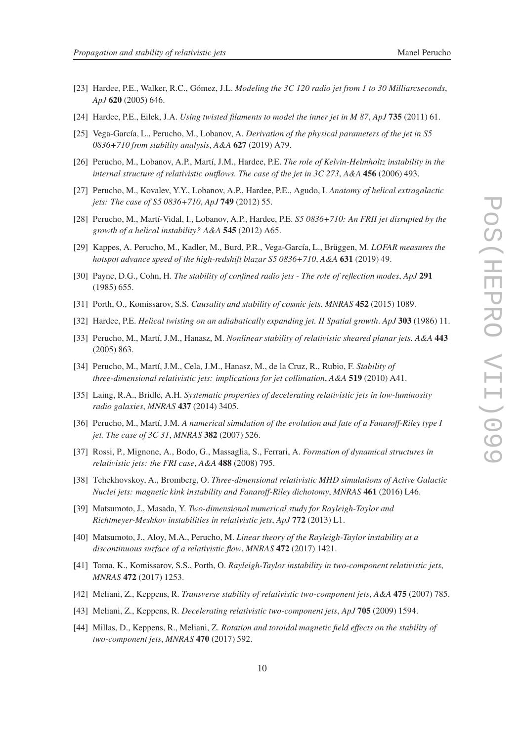- [23] Hardee, P.E., Walker, R.C., Gómez, J.L. *Modeling the 3C 120 radio jet from 1 to 30 Milliarcseconds*, *ApJ* 620 (2005) 646.
- [24] Hardee, P.E., Eilek, J.A. *Using twisted filaments to model the inner jet in M 87*, *ApJ* 735 (2011) 61.
- [25] Vega-García, L., Perucho, M., Lobanov, A. *Derivation of the physical parameters of the jet in S5 0836+710 from stability analysis*, *A&A* 627 (2019) A79.
- [26] Perucho, M., Lobanov, A.P., Martí, J.M., Hardee, P.E. *The role of Kelvin-Helmholtz instability in the internal structure of relativistic outflows. The case of the jet in 3C 273*, *A&A* 456 (2006) 493.
- [27] Perucho, M., Kovalev, Y.Y., Lobanov, A.P., Hardee, P.E., Agudo, I. *Anatomy of helical extragalactic jets: The case of S5 0836+710*, *ApJ* 749 (2012) 55.
- [28] Perucho, M., Martí-Vidal, I., Lobanov, A.P., Hardee, P.E. *S5 0836+710: An FRII jet disrupted by the growth of a helical instability? A&A* 545 (2012) A65.
- [29] Kappes, A. Perucho, M., Kadler, M., Burd, P.R., Vega-García, L., Brüggen, M. *LOFAR measures the hotspot advance speed of the high-redshift blazar S5 0836+710*, *A&A* 631 (2019) 49.
- [30] Payne, D.G., Cohn, H. *The stability of confined radio jets The role of reflection modes*, *ApJ* 291 (1985) 655.
- [31] Porth, O., Komissarov, S.S. *Causality and stability of cosmic jets*. *MNRAS* 452 (2015) 1089.
- [32] Hardee, P.E. *Helical twisting on an adiabatically expanding jet. II Spatial growth. ApJ* 303 (1986) 11.
- [33] Perucho, M., Martí, J.M., Hanasz, M. *Nonlinear stability of relativistic sheared planar jets*. *A&A* 443 (2005) 863.
- [34] Perucho, M., Martí, J.M., Cela, J.M., Hanasz, M., de la Cruz, R., Rubio, F. *Stability of three-dimensional relativistic jets: implications for jet collimation*, *A&A* 519 (2010) A41.
- [35] Laing, R.A., Bridle, A.H. *Systematic properties of decelerating relativistic jets in low-luminosity radio galaxies*, *MNRAS* 437 (2014) 3405.
- [36] Perucho, M., Martí, J.M. *A numerical simulation of the evolution and fate of a Fanaroff-Riley type I jet. The case of 3C 31*, *MNRAS* 382 (2007) 526.
- [37] Rossi, P., Mignone, A., Bodo, G., Massaglia, S., Ferrari, A. *Formation of dynamical structures in relativistic jets: the FRI case*, *A&A* 488 (2008) 795.
- [38] Tchekhovskoy, A., Bromberg, O. *Three-dimensional relativistic MHD simulations of Active Galactic Nuclei jets: magnetic kink instability and Fanaroff-Riley dichotomy*, *MNRAS* 461 (2016) L46.
- [39] Matsumoto, J., Masada, Y. *Two-dimensional numerical study for Rayleigh-Taylor and Richtmeyer-Meshkov instabilities in relativistic jets*, *ApJ* 772 (2013) L1.
- [40] Matsumoto, J., Aloy, M.A., Perucho, M. *Linear theory of the Rayleigh-Taylor instability at a discontinuous surface of a relativistic flow*, *MNRAS* 472 (2017) 1421.
- [41] Toma, K., Komissarov, S.S., Porth, O. *Rayleigh-Taylor instability in two-component relativistic jets*, *MNRAS* 472 (2017) 1253.
- [42] Meliani, Z., Keppens, R. *Transverse stability of relativistic two-component jets*, *A&A* 475 (2007) 785.
- [43] Meliani, Z., Keppens, R. *Decelerating relativistic two-component jets*, *ApJ* 705 (2009) 1594.
- [44] Millas, D., Keppens, R., Meliani, Z. *Rotation and toroidal magnetic field effects on the stability of two-component jets*, *MNRAS* 470 (2017) 592.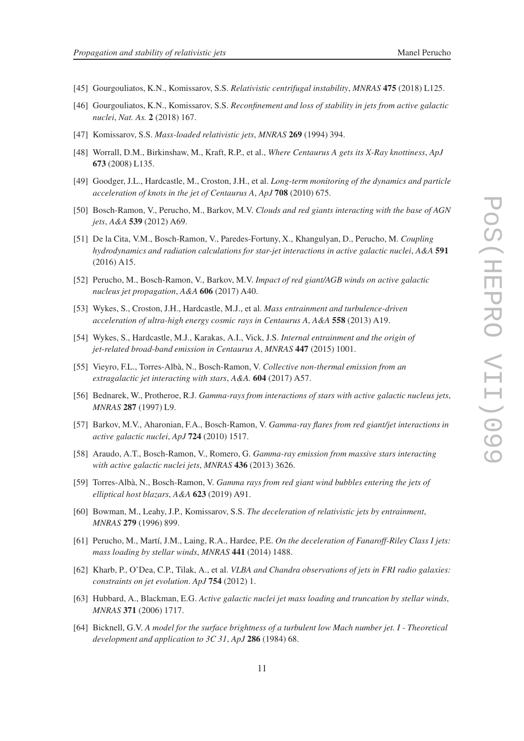- [45] Gourgouliatos, K.N., Komissarov, S.S. *Relativistic centrifugal instability*, *MNRAS* 475 (2018) L125.
- [46] Gourgouliatos, K.N., Komissarov, S.S. *Reconfinement and loss of stability in jets from active galactic nuclei*, *Nat. As.* 2 (2018) 167.
- [47] Komissarov, S.S. *Mass-loaded relativistic jets*, *MNRAS* 269 (1994) 394.
- [48] Worrall, D.M., Birkinshaw, M., Kraft, R.P., et al., *Where Centaurus A gets its X-Ray knottiness*, *ApJ* 673 (2008) L135.
- [49] Goodger, J.L., Hardcastle, M., Croston, J.H., et al. *Long-term monitoring of the dynamics and particle acceleration of knots in the jet of Centaurus A*, *ApJ* 708 (2010) 675.
- [50] Bosch-Ramon, V., Perucho, M., Barkov, M.V. *Clouds and red giants interacting with the base of AGN jets*, *A&A* 539 (2012) A69.
- [51] De la Cita, V.M., Bosch-Ramon, V., Paredes-Fortuny, X., Khangulyan, D., Perucho, M. *Coupling hydrodynamics and radiation calculations for star-jet interactions in active galactic nuclei*, *A&A* 591 (2016) A15.
- [52] Perucho, M., Bosch-Ramon, V., Barkov, M.V. *Impact of red giant/AGB winds on active galactic nucleus jet propagation*, *A&A* 606 (2017) A40.
- [53] Wykes, S., Croston, J.H., Hardcastle, M.J., et al. *Mass entrainment and turbulence-driven acceleration of ultra-high energy cosmic rays in Centaurus A*, *A&A* 558 (2013) A19.
- [54] Wykes, S., Hardcastle, M.J., Karakas, A.I., Vick, J.S. *Internal entrainment and the origin of jet-related broad-band emission in Centaurus A*, *MNRAS* 447 (2015) 1001.
- [55] Vieyro, F.L., Torres-Albà, N., Bosch-Ramon, V. *Collective non-thermal emission from an extragalactic jet interacting with stars*, *A&A.* 604 (2017) A57.
- [56] Bednarek, W., Protheroe, R.J. *Gamma-rays from interactions of stars with active galactic nucleus jets*, *MNRAS* 287 (1997) L9.
- [57] Barkov, M.V., Aharonian, F.A., Bosch-Ramon, V. *Gamma-ray flares from red giant/jet interactions in active galactic nuclei*, *ApJ* 724 (2010) 1517.
- [58] Araudo, A.T., Bosch-Ramon, V., Romero, G. *Gamma-ray emission from massive stars interacting with active galactic nuclei jets*, *MNRAS* 436 (2013) 3626.
- [59] Torres-Albà, N., Bosch-Ramon, V. *Gamma rays from red giant wind bubbles entering the jets of elliptical host blazars*, *A&A* 623 (2019) A91.
- [60] Bowman, M., Leahy, J.P., Komissarov, S.S. *The deceleration of relativistic jets by entrainment*, *MNRAS* 279 (1996) 899.
- [61] Perucho, M., Martí, J.M., Laing, R.A., Hardee, P.E. *On the deceleration of Fanaroff-Riley Class I jets: mass loading by stellar winds*, *MNRAS* 441 (2014) 1488.
- [62] Kharb, P., O'Dea, C.P., Tilak, A., et al. *VLBA and Chandra observations of jets in FRI radio galaxies: constraints on jet evolution*. *ApJ* 754 (2012) 1.
- [63] Hubbard, A., Blackman, E.G. *Active galactic nuclei jet mass loading and truncation by stellar winds*, *MNRAS* 371 (2006) 1717.
- [64] Bicknell, G.V. *A model for the surface brightness of a turbulent low Mach number jet. I Theoretical development and application to 3C 31*, *ApJ* 286 (1984) 68.